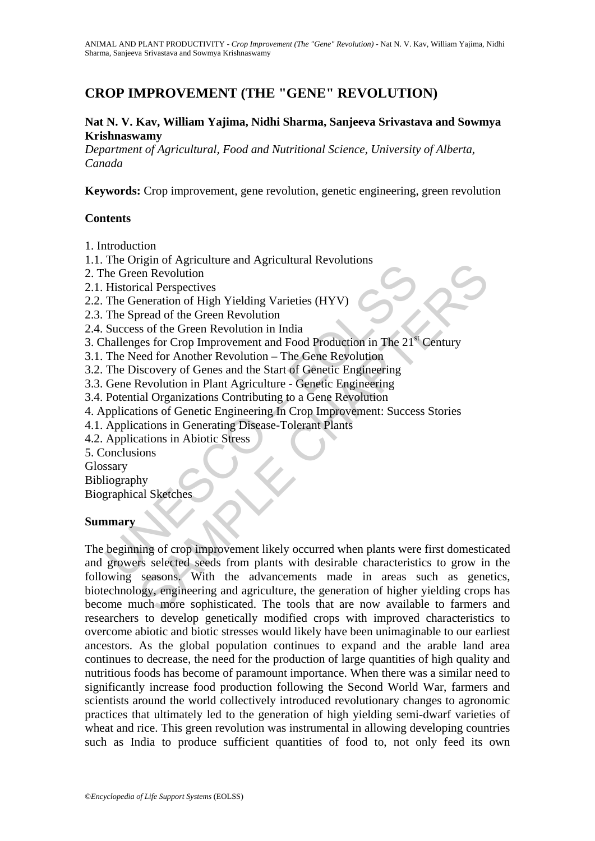# **CROP IMPROVEMENT (THE "GENE" REVOLUTION)**

#### **Nat N. V. Kav, William Yajima, Nidhi Sharma, Sanjeeva Srivastava and Sowmya Krishnaswamy**

*Department of Agricultural, Food and Nutritional Science, University of Alberta, Canada* 

**Keywords:** Crop improvement, gene revolution, genetic engineering, green revolution

#### **Contents**

1. Introduction

- 1.1. The Origin of Agriculture and Agricultural Revolutions
- 2. The Green Revolution
- 2.1. Historical Perspectives
- 2.2. The Generation of High Yielding Varieties (HYV)
- 2.3. The Spread of the Green Revolution
- 2.4. Success of the Green Revolution in India
- 3. Challenges for Crop Improvement and Food Production in The 21<sup>st</sup> Century
- 3.1. The Need for Another Revolution The Gene Revolution
- 3.2. The Discovery of Genes and the Start of Genetic Engineering
- 3.3. Gene Revolution in Plant Agriculture Genetic Engineering
- 3.4. Potential Organizations Contributing to a Gene Revolution
- 4. Applications of Genetic Engineering In Crop Improvement: Success Stories
- 4.1. Applications in Generating Disease-Tolerant Plants
- 4.2. Applications in Abiotic Stress

5. Conclusions

Glossary

Bibliography

Biographical Sketches

#### **Summary**

The Green Revolution<br>
the Green Revolution<br>
Historical Perspectives<br>
The Green Revolution<br>
Historical Perspectives<br>
The Spread of the Green Revolution<br>
India<br>
Success of the Green Revolution in India<br>
hallenges for Crop Im Figure of the Green Revolution<br>
Then Revolution<br>
ical Perspectives<br>
nenead of the Green Revolution<br>
is of the Green Revolution in India<br>
res for Crop Improvement and Food Production in The 21<sup>4</sup> Century<br>
siscovery of Genes The beginning of crop improvement likely occurred when plants were first domesticated and growers selected seeds from plants with desirable characteristics to grow in the following seasons. With the advancements made in areas such as genetics, biotechnology, engineering and agriculture, the generation of higher yielding crops has become much more sophisticated. The tools that are now available to farmers and researchers to develop genetically modified crops with improved characteristics to overcome abiotic and biotic stresses would likely have been unimaginable to our earliest ancestors. As the global population continues to expand and the arable land area continues to decrease, the need for the production of large quantities of high quality and nutritious foods has become of paramount importance. When there was a similar need to significantly increase food production following the Second World War, farmers and scientists around the world collectively introduced revolutionary changes to agronomic practices that ultimately led to the generation of high yielding semi-dwarf varieties of wheat and rice. This green revolution was instrumental in allowing developing countries such as India to produce sufficient quantities of food to, not only feed its own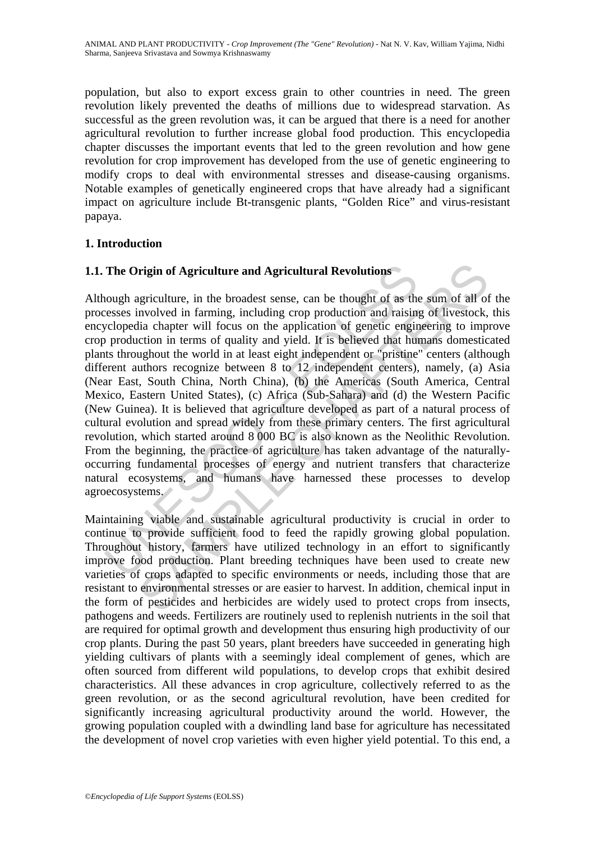population, but also to export excess grain to other countries in need. The green revolution likely prevented the deaths of millions due to widespread starvation. As successful as the green revolution was, it can be argued that there is a need for another agricultural revolution to further increase global food production. This encyclopedia chapter discusses the important events that led to the green revolution and how gene revolution for crop improvement has developed from the use of genetic engineering to modify crops to deal with environmental stresses and disease-causing organisms. Notable examples of genetically engineered crops that have already had a significant impact on agriculture include Bt-transgenic plants, "Golden Rice" and virus-resistant papaya.

### **1. Introduction**

# **1.1. The Origin of Agriculture and Agricultural Revolutions**

The Origin of Agriculture and Agricultural Revolutions<br>nough agriculture, in the broadest sense, can be thought of as the<br>ressess involved in farming, including crop production and raising<br>cyclopedia chapter will focus on **rigin of Agriculture and Agricultural Revolutions**<br>
egriculture, in the broadest sense, can be thought of as the sum of all of<br>
mvolved in farming, including crop production and raising of livestock,<br>
lia chapter will foc Although agriculture, in the broadest sense, can be thought of as the sum of all of the processes involved in farming, including crop production and raising of livestock, this encyclopedia chapter will focus on the application of genetic engineering to improve crop production in terms of quality and yield. It is believed that humans domesticated plants throughout the world in at least eight independent or "pristine" centers (although different authors recognize between 8 to 12 independent centers), namely, (a) Asia (Near East, South China, North China), (b) the Americas (South America, Central Mexico, Eastern United States), (c) Africa (Sub-Sahara) and (d) the Western Pacific (New Guinea). It is believed that agriculture developed as part of a natural process of cultural evolution and spread widely from these primary centers. The first agricultural revolution, which started around 8 000 BC is also known as the Neolithic Revolution. From the beginning, the practice of agriculture has taken advantage of the naturallyoccurring fundamental processes of energy and nutrient transfers that characterize natural ecosystems, and humans have harnessed these processes to develop agroecosystems.

Maintaining viable and sustainable agricultural productivity is crucial in order to continue to provide sufficient food to feed the rapidly growing global population. Throughout history, farmers have utilized technology in an effort to significantly improve food production. Plant breeding techniques have been used to create new varieties of crops adapted to specific environments or needs, including those that are resistant to environmental stresses or are easier to harvest. In addition, chemical input in the form of pesticides and herbicides are widely used to protect crops from insects, pathogens and weeds. Fertilizers are routinely used to replenish nutrients in the soil that are required for optimal growth and development thus ensuring high productivity of our crop plants. During the past 50 years, plant breeders have succeeded in generating high yielding cultivars of plants with a seemingly ideal complement of genes, which are often sourced from different wild populations, to develop crops that exhibit desired characteristics. All these advances in crop agriculture, collectively referred to as the green revolution, or as the second agricultural revolution, have been credited for significantly increasing agricultural productivity around the world. However, the growing population coupled with a dwindling land base for agriculture has necessitated the development of novel crop varieties with even higher yield potential. To this end, a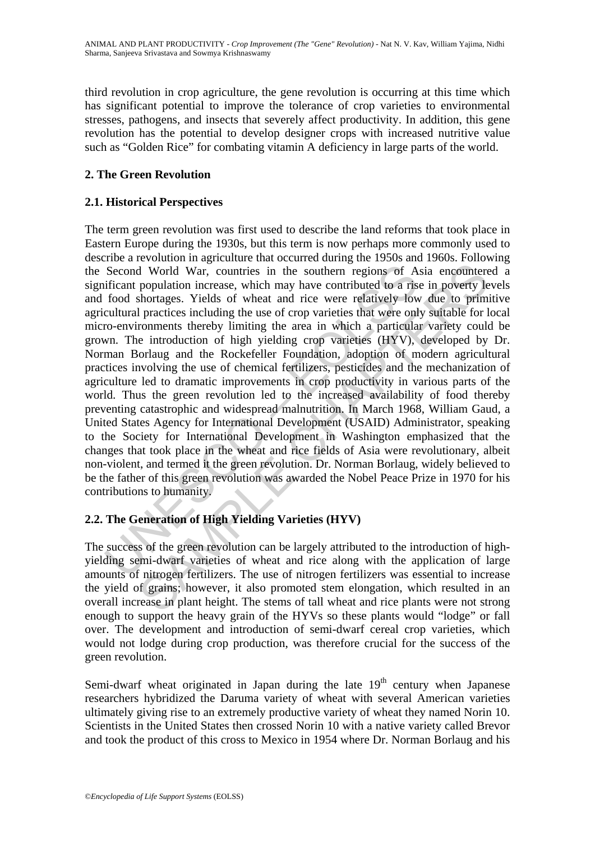third revolution in crop agriculture, the gene revolution is occurring at this time which has significant potential to improve the tolerance of crop varieties to environmental stresses, pathogens, and insects that severely affect productivity. In addition, this gene revolution has the potential to develop designer crops with increased nutritive value such as "Golden Rice" for combating vitamin A deficiency in large parts of the world.

# **2. The Green Revolution**

# **2.1. Historical Perspectives**

Second World War, countries in the southern regions of A<br>stificant population increase, which may have contributed to a ris<br>food shortages. Yields of wheat and rice were relatively low<br>cultural practices including the use If World War, countries in the southern regions of Asia encounter<br>population increase, which may have contributed to a rise in poverty le<br>shortages. Yields of wheat and rice were relatively low due to primit<br>practices inc The term green revolution was first used to describe the land reforms that took place in Eastern Europe during the 1930s, but this term is now perhaps more commonly used to describe a revolution in agriculture that occurred during the 1950s and 1960s. Following the Second World War, countries in the southern regions of Asia encountered a significant population increase, which may have contributed to a rise in poverty levels and food shortages. Yields of wheat and rice were relatively low due to primitive agricultural practices including the use of crop varieties that were only suitable for local micro-environments thereby limiting the area in which a particular variety could be grown. The introduction of high yielding crop varieties (HYV), developed by Dr. Norman Borlaug and the Rockefeller Foundation, adoption of modern agricultural practices involving the use of chemical fertilizers, pesticides and the mechanization of agriculture led to dramatic improvements in crop productivity in various parts of the world. Thus the green revolution led to the increased availability of food thereby preventing catastrophic and widespread malnutrition. In March 1968, William Gaud, a United States Agency for International Development (USAID) Administrator, speaking to the Society for International Development in Washington emphasized that the changes that took place in the wheat and rice fields of Asia were revolutionary, albeit non-violent, and termed it the green revolution. Dr. Norman Borlaug, widely believed to be the father of this green revolution was awarded the Nobel Peace Prize in 1970 for his contributions to humanity.

# **2.2. The Generation of High Yielding Varieties (HYV)**

The success of the green revolution can be largely attributed to the introduction of highyielding semi-dwarf varieties of wheat and rice along with the application of large amounts of nitrogen fertilizers. The use of nitrogen fertilizers was essential to increase the yield of grains; however, it also promoted stem elongation, which resulted in an overall increase in plant height. The stems of tall wheat and rice plants were not strong enough to support the heavy grain of the HYVs so these plants would "lodge" or fall over. The development and introduction of semi-dwarf cereal crop varieties, which would not lodge during crop production, was therefore crucial for the success of the green revolution.

Semi-dwarf wheat originated in Japan during the late  $19<sup>th</sup>$  century when Japanese researchers hybridized the Daruma variety of wheat with several American varieties ultimately giving rise to an extremely productive variety of wheat they named Norin 10. Scientists in the United States then crossed Norin 10 with a native variety called Brevor and took the product of this cross to Mexico in 1954 where Dr. Norman Borlaug and his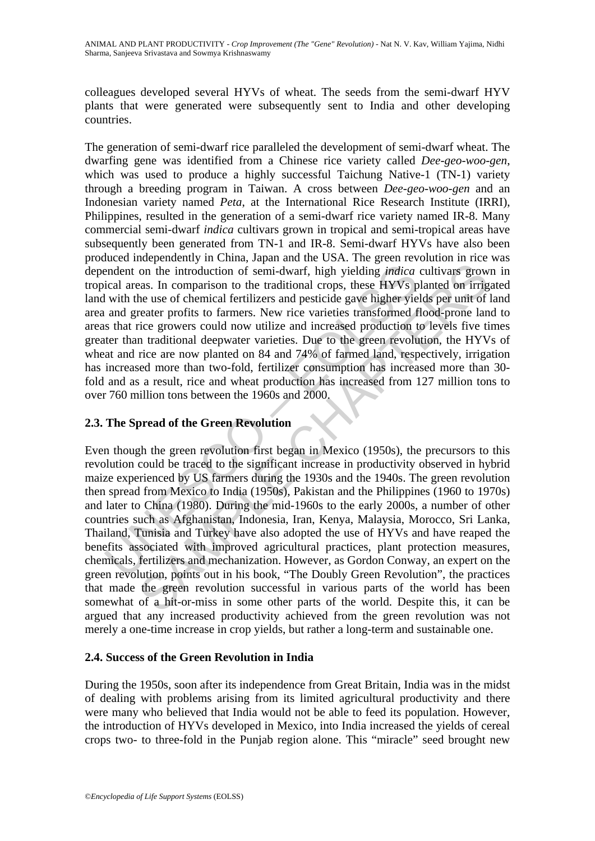colleagues developed several HYVs of wheat. The seeds from the semi-dwarf HYV plants that were generated were subsequently sent to India and other developing countries.

endent on the introduction of semi-dwarf, high yielding *indica*<br>cical areas. In comparison to the traditional crops, these HYVs p<br>with the use of chemical fertilizers and pesticide gave higher yie<br>and greater profits to f The generation of semi-dwarf rice paralleled the development of semi-dwarf wheat. The dwarfing gene was identified from a Chinese rice variety called *Dee-geo-woo-gen*, which was used to produce a highly successful Taichung Native-1 (TN-1) variety through a breeding program in Taiwan. A cross between *Dee-geo-woo-gen* and an Indonesian variety named *Peta*, at the International Rice Research Institute (IRRI), Philippines, resulted in the generation of a semi-dwarf rice variety named IR-8. Many commercial semi-dwarf *indica* cultivars grown in tropical and semi-tropical areas have subsequently been generated from TN-1 and IR-8. Semi-dwarf HYVs have also been produced independently in China, Japan and the USA. The green revolution in rice was dependent on the introduction of semi-dwarf, high yielding *indica* cultivars grown in tropical areas. In comparison to the traditional crops, these HYVs planted on irrigated land with the use of chemical fertilizers and pesticide gave higher yields per unit of land area and greater profits to farmers. New rice varieties transformed flood-prone land to areas that rice growers could now utilize and increased production to levels five times greater than traditional deepwater varieties. Due to the green revolution, the HYVs of wheat and rice are now planted on 84 and 74% of farmed land, respectively, irrigation has increased more than two-fold, fertilizer consumption has increased more than 30 fold and as a result, rice and wheat production has increased from 127 million tons to over 760 million tons between the 1960s and 2000.

# **2.3. The Spread of the Green Revolution**

on the introduction of semi-dwarf, high yielding *indicea* cultivars grow<br>and the introduction of semi-dwarf, high yielding *indicea* cultivars grow<br>and set of chemical fertilizers and pesticide gave higher yields per unit Even though the green revolution first began in Mexico (1950s), the precursors to this revolution could be traced to the significant increase in productivity observed in hybrid maize experienced by US farmers during the 1930s and the 1940s. The green revolution then spread from Mexico to India (1950s), Pakistan and the Philippines (1960 to 1970s) and later to China (1980). During the mid-1960s to the early 2000s, a number of other countries such as Afghanistan, Indonesia, Iran, Kenya, Malaysia, Morocco, Sri Lanka, Thailand, Tunisia and Turkey have also adopted the use of HYVs and have reaped the benefits associated with improved agricultural practices, plant protection measures, chemicals, fertilizers and mechanization. However, as Gordon Conway, an expert on the green revolution, points out in his book, "The Doubly Green Revolution", the practices that made the green revolution successful in various parts of the world has been somewhat of a hit-or-miss in some other parts of the world. Despite this, it can be argued that any increased productivity achieved from the green revolution was not merely a one-time increase in crop yields, but rather a long-term and sustainable one.

### **2.4. Success of the Green Revolution in India**

During the 1950s, soon after its independence from Great Britain, India was in the midst of dealing with problems arising from its limited agricultural productivity and there were many who believed that India would not be able to feed its population. However, the introduction of HYVs developed in Mexico, into India increased the yields of cereal crops two- to three-fold in the Punjab region alone. This "miracle" seed brought new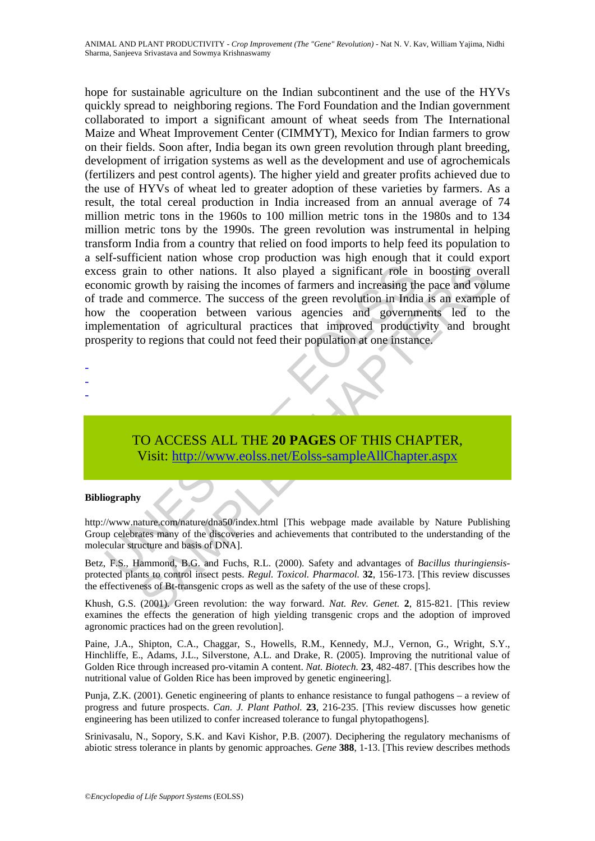Solution to other nations. It also played a significant role in<br>the inomic growth by raising the incomes of farmers and increasing th<br>rade and commerce. The success of the green revolution in India<br>the cooperation between in to other nations. It also played a significant role in boosting over<br>prowth by raising the incomes of farmers and increasing the pace and vold<br>commerce. The success of the green revolution in India is an example<br>coopera hope for sustainable agriculture on the Indian subcontinent and the use of the HYVs quickly spread to neighboring regions. The Ford Foundation and the Indian government collaborated to import a significant amount of wheat seeds from The International Maize and Wheat Improvement Center (CIMMYT), Mexico for Indian farmers to grow on their fields. Soon after, India began its own green revolution through plant breeding, development of irrigation systems as well as the development and use of agrochemicals (fertilizers and pest control agents). The higher yield and greater profits achieved due to the use of HYVs of wheat led to greater adoption of these varieties by farmers. As a result, the total cereal production in India increased from an annual average of 74 million metric tons in the 1960s to 100 million metric tons in the 1980s and to 134 million metric tons by the 1990s. The green revolution was instrumental in helping transform India from a country that relied on food imports to help feed its population to a self-sufficient nation whose crop production was high enough that it could export excess grain to other nations. It also played a significant role in boosting overall economic growth by raising the incomes of farmers and increasing the pace and volume of trade and commerce. The success of the green revolution in India is an example of how the cooperation between various agencies and governments led to the implementation of agricultural practices that improved productivity and brought prosperity to regions that could not feed their population at one instance.

- -
- -
- -

TO ACCESS ALL THE **20 PAGES** OF THIS CHAPTER, Visit: http://www.eolss.net/Eolss-sampleAllChapter.aspx

#### **Bibliography**

http://www.nature.com/nature/dna50/index.html [This webpage made available by Nature Publishing Group celebrates many of the discoveries and achievements that contributed to the understanding of the molecular structure and basis of DNA].

Betz, F.S., Hammond, B.G. and Fuchs, R.L. (2000). Safety and advantages of *Bacillus thuringiensis*protected plants to control insect pests. *Regul. Toxicol. Pharmacol.* **32**, 156-173. [This review discusses the effectiveness of Bt-transgenic crops as well as the safety of the use of these crops].

Khush, G.S. (2001). Green revolution: the way forward. *Nat. Rev. Genet.* **2**, 815-821. [This review examines the effects the generation of high yielding transgenic crops and the adoption of improved agronomic practices had on the green revolution].

Paine, J.A., Shipton, C.A., Chaggar, S., Howells, R.M., Kennedy, M.J., Vernon, G., Wright, S.Y., Hinchliffe, E., Adams, J.L., Silverstone, A.L. and Drake, R. (2005). Improving the nutritional value of Golden Rice through increased pro-vitamin A content. *Nat. Biotech.* **23**, 482-487. [This describes how the nutritional value of Golden Rice has been improved by genetic engineering].

Punja, Z.K. (2001). Genetic engineering of plants to enhance resistance to fungal pathogens – a review of progress and future prospects. *Can. J. Plant Pathol.* **23**, 216-235. [This review discusses how genetic engineering has been utilized to confer increased tolerance to fungal phytopathogens].

Srinivasalu, N., Sopory, S.K. and Kavi Kishor, P.B. (2007). Deciphering the regulatory mechanisms of abiotic stress tolerance in plants by genomic approaches. *Gene* **388**, 1-13. [This review describes methods